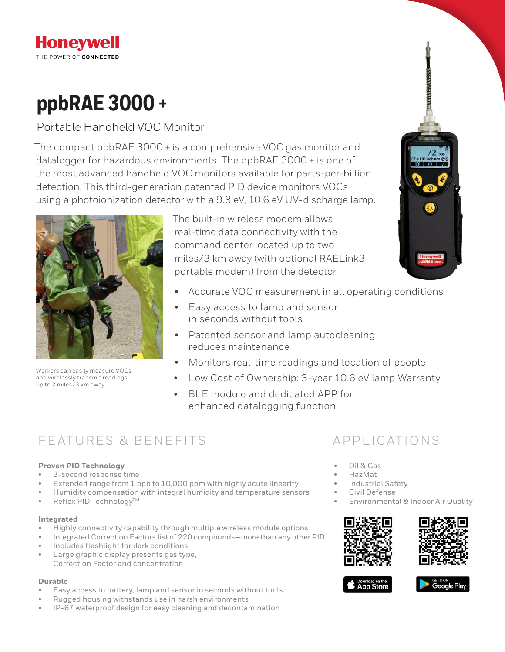## **Honeywell** THE POWER OF CONNECTED

# **ppbRAE 3000 +**

# Portable Handheld VOC Monitor

The compact ppbRAE 3000 + is a comprehensive VOC gas monitor and datalogger for hazardous environments. The ppbRAE 3000 + is one of the most advanced handheld VOC monitors available for parts-per-billion detection. This third-generation patented PID device monitors VOCs using a photoionization detector with a 9.8 eV, 10.6 eV UV-discharge lamp.



Workers can easily measure VOCs and wirelessly transmit readings up to 2 miles/3 km away.

The built-in wireless modem allows real-time data connectivity with the command center located up to two miles/3 km away (with optional RAELink3 portable modem) from the detector.

- Accurate VOC measurement in all operating conditions
- Easy access to lamp and sensor in seconds without tools
- Patented sensor and lamp autocleaning reduces maintenance
- Monitors real-time readings and location of people
- Low Cost of Ownership: 3-year 10.6 eV lamp Warranty
- BLE module and dedicated APP for enhanced datalogging function

# FEATURES & BENEFITS APPIICATIONS

### **Proven PID Technology**

- 3-second response time
- Extended range from 1 ppb to 10,000 ppm with highly acute linearity
- Humidity compensation with integral humidity and temperature sensors
- Reflex PID Technology $TM$

### **Integrated**

- Highly connectivity capability through multiple wireless module options
- Integrated Correction Factors list of 220 compounds—more than any other PID
- Includes flashlight for dark conditions
- Large graphic display presents gas type, Correction Factor and concentration

### **Durable**

- Easy access to battery, lamp and sensor in seconds without tools
- Rugged housing withstands use in harsh environments
- IP-67 waterproof design for easy cleaning and decontamination

- Oil & Gas
- HazMat
- Industrial Safety
- Civil Defense
- Environmental & Indoor Air Quality